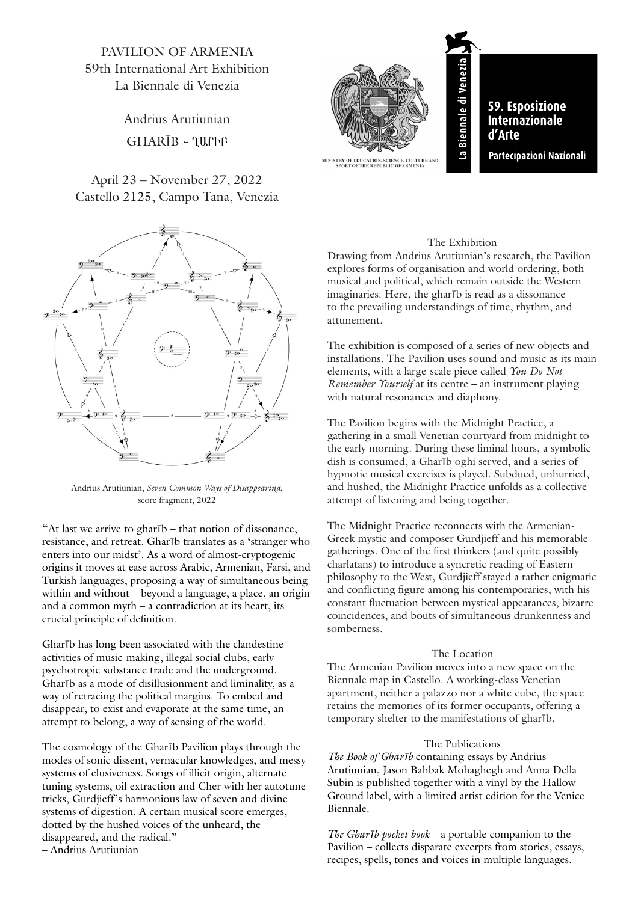PAVILION OF ARMENIA 59th International Art Exhibition La Biennale di Venezia

> Andrius Arutiunian  $GHARIB - \mathcal{U}$

## April 23 – November 27, 2022 Castello 2125, Campo Tana, Venezia



Andrius Arutiunian, *Seven Common Ways of Disappearing*, score fragment, 2022

"At last we arrive to gharīb – that notion of dissonance, resistance, and retreat. Gharīb translates as a 'stranger who enters into our midst'. As a word of almost-cryptogenic origins it moves at ease across Arabic, Armenian, Farsi, and Turkish languages, proposing a way of simultaneous being within and without – beyond a language, a place, an origin and a common myth – a contradiction at its heart, its crucial principle of definition.

Gharīb has long been associated with the clandestine activities of music-making, illegal social clubs, early psychotropic substance trade and the underground. Gharīb as a mode of disillusionment and liminality, as a way of retracing the political margins. To embed and disappear, to exist and evaporate at the same time, an attempt to belong, a way of sensing of the world.

The cosmology of the Gharīb Pavilion plays through the modes of sonic dissent, vernacular knowledges, and messy systems of elusiveness. Songs of illicit origin, alternate tuning systems, oil extraction and Cher with her autotune tricks, Gurdjieff's harmonious law of seven and divine systems of digestion. A certain musical score emerges, dotted by the hushed voices of the unheard, the disappeared, and the radical."

– Andrius Arutiunian



## The Exhibition

Drawing from Andrius Arutiunian's research, the Pavilion explores forms of organisation and world ordering, both musical and political, which remain outside the Western imaginaries. Here, the gharīb is read as a dissonance to the prevailing understandings of time, rhythm, and attunement.

The exhibition is composed of a series of new objects and installations. The Pavilion uses sound and music as its main elements, with a large-scale piece called *You Do Not Remember Yourself* at its centre – an instrument playing with natural resonances and diaphony.

The Pavilion begins with the Midnight Practice, a gathering in a small Venetian courtyard from midnight to the early morning. During these liminal hours, a symbolic dish is consumed, a Gharīb oghi served, and a series of hypnotic musical exercises is played. Subdued, unhurried, and hushed, the Midnight Practice unfolds as a collective attempt of listening and being together.

The Midnight Practice reconnects with the Armenian-Greek mystic and composer Gurdjieff and his memorable gatherings. One of the first thinkers (and quite possibly charlatans) to introduce a syncretic reading of Eastern philosophy to the West, Gurdjieff stayed a rather enigmatic and conflicting figure among his contemporaries, with his constant fluctuation between mystical appearances, bizarre coincidences, and bouts of simultaneous drunkenness and somberness.

## The Location

The Armenian Pavilion moves into a new space on the Biennale map in Castello. A working-class Venetian apartment, neither a palazzo nor a white cube, the space retains the memories of its former occupants, offering a temporary shelter to the manifestations of gharīb.

## The Publications

*The Book of Ghar*ī*b* containing essays by Andrius Arutiunian, Jason Bahbak Mohaghegh and Anna Della Subin is published together with a vinyl by the Hallow Ground label, with a limited artist edition for the Venice Biennale.

*The Ghar*ī*b pocket book* – a portable companion to the Pavilion – collects disparate excerpts from stories, essays, recipes, spells, tones and voices in multiple languages.